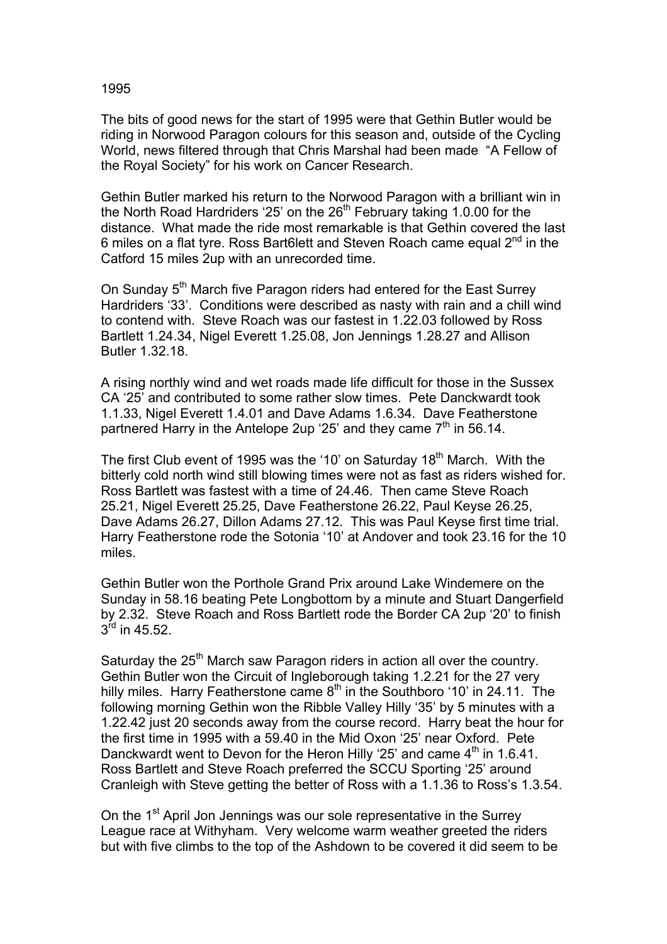## 1995

The bits of good news for the start of 1995 were that Gethin Butler would be riding in Norwood Paragon colours for this season and, outside of the Cycling World, news filtered through that Chris Marshal had been made "A Fellow of the Royal Society" for his work on Cancer Research.

Gethin Butler marked his return to the Norwood Paragon with a brilliant win in the North Road Hardriders '25' on the  $26<sup>th</sup>$  February taking 1.0.00 for the distance. What made the ride most remarkable is that Gethin covered the last 6 miles on a flat tyre. Ross Bart6lett and Steven Roach came equal  $2^{nd}$  in the Catford 15 miles 2up with an unrecorded time.

On Sunday 5<sup>th</sup> March five Paragon riders had entered for the East Surrey Hardriders '33'. Conditions were described as nasty with rain and a chill wind to contend with. Steve Roach was our fastest in 1.22.03 followed by Ross Bartlett 1.24.34, Nigel Everett 1.25.08, Jon Jennings 1.28.27 and Allison Butler 1.32.18.

A rising northly wind and wet roads made life difficult for those in the Sussex CA '25' and contributed to some rather slow times. Pete Danckwardt took 1.1.33, Nigel Everett 1.4.01 and Dave Adams 1.6.34. Dave Featherstone partnered Harry in the Antelope 2up '25' and they came  $7<sup>th</sup>$  in 56.14.

The first Club event of 1995 was the '10' on Saturday  $18<sup>th</sup>$  March. With the bitterly cold north wind still blowing times were not as fast as riders wished for. Ross Bartlett was fastest with a time of 24.46. Then came Steve Roach 25.21, Nigel Everett 25.25, Dave Featherstone 26.22, Paul Keyse 26.25, Dave Adams 26.27, Dillon Adams 27.12. This was Paul Keyse first time trial. Harry Featherstone rode the Sotonia '10' at Andover and took 23.16 for the 10 miles.

Gethin Butler won the Porthole Grand Prix around Lake Windemere on the Sunday in 58.16 beating Pete Longbottom by a minute and Stuart Dangerfield by 2.32. Steve Roach and Ross Bartlett rode the Border CA 2up '20' to finish  $3^{\text{rd}}$  in 45.52.

Saturday the  $25<sup>th</sup>$  March saw Paragon riders in action all over the country. Gethin Butler won the Circuit of Ingleborough taking 1.2.21 for the 27 very hilly miles. Harry Featherstone came  $8<sup>th</sup>$  in the Southboro '10' in 24.11. The following morning Gethin won the Ribble Valley Hilly '35' by 5 minutes with a 1.22.42 just 20 seconds away from the course record. Harry beat the hour for the first time in 1995 with a 59.40 in the Mid Oxon '25' near Oxford. Pete Danckwardt went to Devon for the Heron Hilly '25' and came  $4<sup>th</sup>$  in 1.6.41. Ross Bartlett and Steve Roach preferred the SCCU Sporting '25' around Cranleigh with Steve getting the better of Ross with a 1.1.36 to Ross's 1.3.54.

On the 1<sup>st</sup> April Jon Jennings was our sole representative in the Surrey League race at Withyham. Very welcome warm weather greeted the riders but with five climbs to the top of the Ashdown to be covered it did seem to be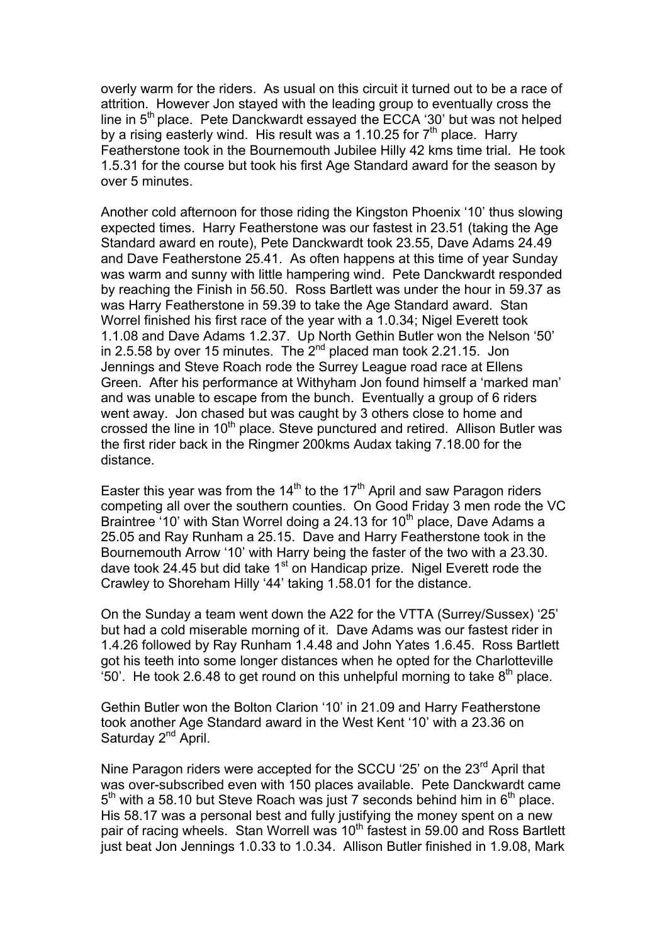overly warm for the riders. As usual on this circuit it turned out to be a race of attrition. However Jon stayed with the leading group to eventually cross the line in 5<sup>th</sup> place. Pete Danckwardt essayed the ECCA '30' but was not helped by a rising easterly wind. His result was a 1.10.25 for  $7<sup>th</sup>$  place. Harry Featherstone took in the Bournemouth Jubilee Hilly 42 kms time trial. He took 1.5.31 for the course but took his first Age Standard award for the season by over 5 minutes.

Another cold afternoon for those riding the Kingston Phoenix '10' thus slowing expected times. Harry Featherstone was our fastest in 23.51 (taking the Age Standard award en route), Pete Danckwardt took 23.55, Dave Adams 24.49 and Dave Featherstone 25.41. As often happens at this time of year Sunday was warm and sunny with little hampering wind. Pete Danckwardt responded by reaching the Finish in 56.50. Ross Bartlett was under the hour in 59.37 as was Harry Featherstone in 59.39 to take the Age Standard award. Stan Worrel finished his first race of the year with a 1.0.34; Nigel Everett took 1.1.08 and Dave Adams 1.2.37. Up North Gethin Butler won the Nelson '50' in 2.5.58 by over 15 minutes. The  $2^{nd}$  placed man took 2.21.15. Jon Jennings and Steve Roach rode the Surrey League road race at Ellens Green. After his performance at Withyham Jon found himself a 'marked man' and was unable to escape from the bunch. Eventually a group of 6 riders went away. Jon chased but was caught by 3 others close to home and crossed the line in 10<sup>th</sup> place. Steve punctured and retired. Allison Butler was the first rider back in the Ringmer 200kms Audax taking 7.18.00 for the distance.

Easter this year was from the  $14<sup>th</sup>$  to the 17<sup>th</sup> April and saw Paragon riders competing all over the southern counties. On Good Friday 3 men rode the VC Braintree '10' with Stan Worrel doing a 24.13 for  $10<sup>th</sup>$  place, Dave Adams a 25.05 and Ray Runham a 25.15. Dave and Harry Featherstone took in the Bournemouth Arrow '10' with Harry being the faster of the two with a 23.30. dave took 24.45 but did take  $1<sup>st</sup>$  on Handicap prize. Nigel Everett rode the Crawley to Shoreham Hilly '44' taking 1.58.01 for the distance.

On the Sunday a team went down the A22 for the VTTA (Surrey/Sussex) '25' but had a cold miserable morning of it. Dave Adams was our fastest rider in 1.4.26 followed by Ray Runham 1.4.48 and John Yates 1.6.45. Ross Bartlett got his teeth into some longer distances when he opted for the Charlotteville '50'. He took 2.6.48 to get round on this unhelpful morning to take  $8<sup>th</sup>$  place.

Gethin Butler won the Bolton Clarion '10' in 21.09 and Harry Featherstone took another Age Standard award in the West Kent '10' with a 23.36 on Saturday 2<sup>nd</sup> April.

Nine Paragon riders were accepted for the SCCU '25' on the 23<sup>rd</sup> April that was over-subscribed even with 150 places available. Pete Danckwardt came  $5<sup>th</sup>$  with a 58.10 but Steve Roach was just 7 seconds behind him in  $6<sup>th</sup>$  place. His 58.17 was a personal best and fully justifying the money spent on a new pair of racing wheels. Stan Worrell was 10<sup>th</sup> fastest in 59.00 and Ross Bartlett just beat Jon Jennings 1.0.33 to 1.0.34. Allison Butler finished in 1.9.08, Mark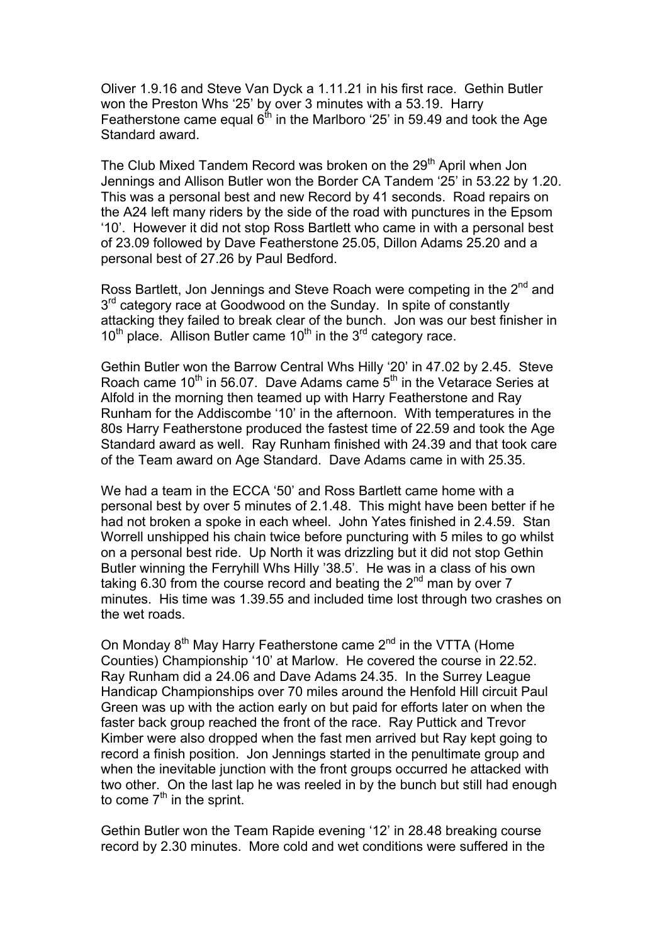Oliver 1.9.16 and Steve Van Dyck a 1.11.21 in his first race. Gethin Butler won the Preston Whs '25' by over 3 minutes with a 53.19. Harry Featherstone came equal  $6<sup>th</sup>$  in the Marlboro '25' in 59.49 and took the Age Standard award.

The Club Mixed Tandem Record was broken on the 29<sup>th</sup> April when Jon Jennings and Allison Butler won the Border CA Tandem '25' in 53.22 by 1.20. This was a personal best and new Record by 41 seconds. Road repairs on the A24 left many riders by the side of the road with punctures in the Epsom '10'. However it did not stop Ross Bartlett who came in with a personal best of 23.09 followed by Dave Featherstone 25.05, Dillon Adams 25.20 and a personal best of 27.26 by Paul Bedford.

Ross Bartlett, Jon Jennings and Steve Roach were competing in the 2<sup>nd</sup> and 3<sup>rd</sup> category race at Goodwood on the Sunday. In spite of constantly attacking they failed to break clear of the bunch. Jon was our best finisher in  $10^{th}$  place. Allison Butler came  $10^{th}$  in the  $3^{rd}$  category race.

Gethin Butler won the Barrow Central Whs Hilly '20' in 47.02 by 2.45. Steve Roach came  $10^{th}$  in 56.07. Dave Adams came  $5^{th}$  in the Vetarace Series at Alfold in the morning then teamed up with Harry Featherstone and Ray Runham for the Addiscombe '10' in the afternoon. With temperatures in the 80s Harry Featherstone produced the fastest time of 22.59 and took the Age Standard award as well. Ray Runham finished with 24.39 and that took care of the Team award on Age Standard. Dave Adams came in with 25.35.

We had a team in the ECCA '50' and Ross Bartlett came home with a personal best by over 5 minutes of 2.1.48. This might have been better if he had not broken a spoke in each wheel. John Yates finished in 2.4.59. Stan Worrell unshipped his chain twice before puncturing with 5 miles to go whilst on a personal best ride. Up North it was drizzling but it did not stop Gethin Butler winning the Ferryhill Whs Hilly '38.5'. He was in a class of his own taking 6.30 from the course record and beating the  $2<sup>nd</sup>$  man by over 7 minutes. His time was 1.39.55 and included time lost through two crashes on the wet roads.

On Monday 8<sup>th</sup> May Harry Featherstone came 2<sup>nd</sup> in the VTTA (Home Counties) Championship '10' at Marlow. He covered the course in 22.52. Ray Runham did a 24.06 and Dave Adams 24.35. In the Surrey League Handicap Championships over 70 miles around the Henfold Hill circuit Paul Green was up with the action early on but paid for efforts later on when the faster back group reached the front of the race. Ray Puttick and Trevor Kimber were also dropped when the fast men arrived but Ray kept going to record a finish position. Jon Jennings started in the penultimate group and when the inevitable junction with the front groups occurred he attacked with two other. On the last lap he was reeled in by the bunch but still had enough to come  $7<sup>th</sup>$  in the sprint.

Gethin Butler won the Team Rapide evening '12' in 28.48 breaking course record by 2.30 minutes. More cold and wet conditions were suffered in the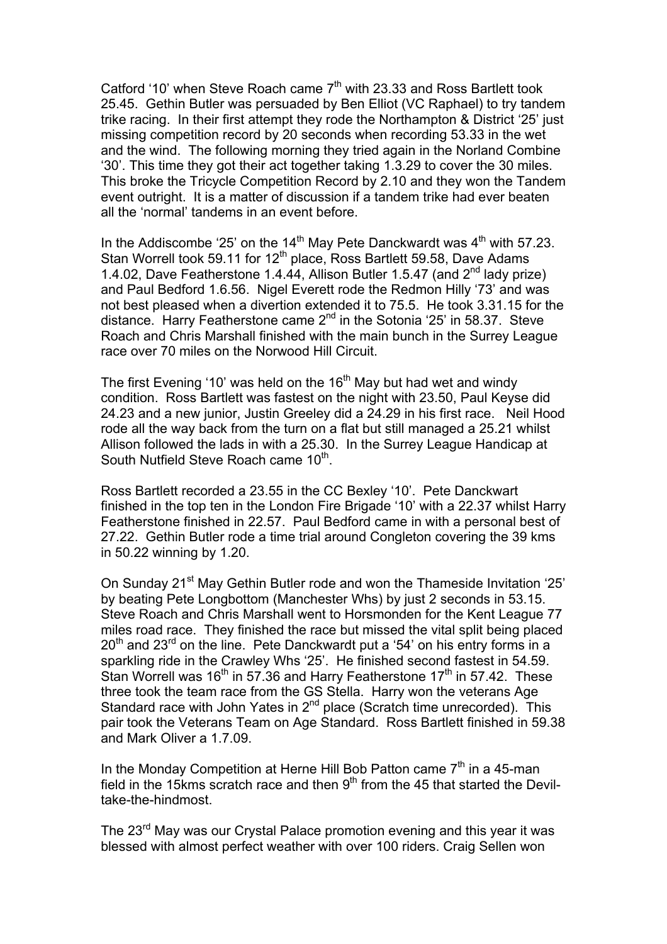Catford '10' when Steve Roach came  $7<sup>th</sup>$  with 23.33 and Ross Bartlett took 25.45. Gethin Butler was persuaded by Ben Elliot (VC Raphael) to try tandem trike racing. In their first attempt they rode the Northampton & District '25' just missing competition record by 20 seconds when recording 53.33 in the wet and the wind. The following morning they tried again in the Norland Combine '30'. This time they got their act together taking 1.3.29 to cover the 30 miles. This broke the Tricycle Competition Record by 2.10 and they won the Tandem event outright. It is a matter of discussion if a tandem trike had ever beaten all the 'normal' tandems in an event before.

In the Addiscombe '25' on the 14<sup>th</sup> May Pete Danckwardt was  $4<sup>th</sup>$  with 57.23. Stan Worrell took 59.11 for 12<sup>th</sup> place, Ross Bartlett 59.58, Dave Adams 1.4.02, Dave Featherstone 1.4.44, Allison Butler 1.5.47 (and 2<sup>nd</sup> lady prize) and Paul Bedford 1.6.56. Nigel Everett rode the Redmon Hilly '73' and was not best pleased when a divertion extended it to 75.5. He took 3.31.15 for the distance. Harry Featherstone came 2<sup>nd</sup> in the Sotonia '25' in 58.37. Steve Roach and Chris Marshall finished with the main bunch in the Surrey League race over 70 miles on the Norwood Hill Circuit.

The first Evening '10' was held on the  $16<sup>th</sup>$  May but had wet and windy condition. Ross Bartlett was fastest on the night with 23.50, Paul Keyse did 24.23 and a new junior, Justin Greeley did a 24.29 in his first race. Neil Hood rode all the way back from the turn on a flat but still managed a 25.21 whilst Allison followed the lads in with a 25.30. In the Surrey League Handicap at South Nutfield Steve Roach came 10<sup>th</sup>.

Ross Bartlett recorded a 23.55 in the CC Bexley '10'. Pete Danckwart finished in the top ten in the London Fire Brigade '10' with a 22.37 whilst Harry Featherstone finished in 22.57. Paul Bedford came in with a personal best of 27.22. Gethin Butler rode a time trial around Congleton covering the 39 kms in 50.22 winning by 1.20.

On Sunday 21st May Gethin Butler rode and won the Thameside Invitation '25' by beating Pete Longbottom (Manchester Whs) by just 2 seconds in 53.15. Steve Roach and Chris Marshall went to Horsmonden for the Kent League 77 miles road race. They finished the race but missed the vital split being placed  $20<sup>th</sup>$  and  $23<sup>rd</sup>$  on the line. Pete Danckwardt put a '54' on his entry forms in a sparkling ride in the Crawley Whs '25'. He finished second fastest in 54.59. Stan Worrell was 16<sup>th</sup> in 57.36 and Harry Featherstone 17<sup>th</sup> in 57.42. These three took the team race from the GS Stella. Harry won the veterans Age Standard race with John Yates in 2<sup>nd</sup> place (Scratch time unrecorded). This pair took the Veterans Team on Age Standard. Ross Bartlett finished in 59.38 and Mark Oliver a 1.7.09.

In the Monday Competition at Herne Hill Bob Patton came  $7<sup>th</sup>$  in a 45-man field in the 15kms scratch race and then  $9<sup>th</sup>$  from the 45 that started the Deviltake-the-hindmost.

The 23<sup>rd</sup> May was our Crystal Palace promotion evening and this year it was blessed with almost perfect weather with over 100 riders. Craig Sellen won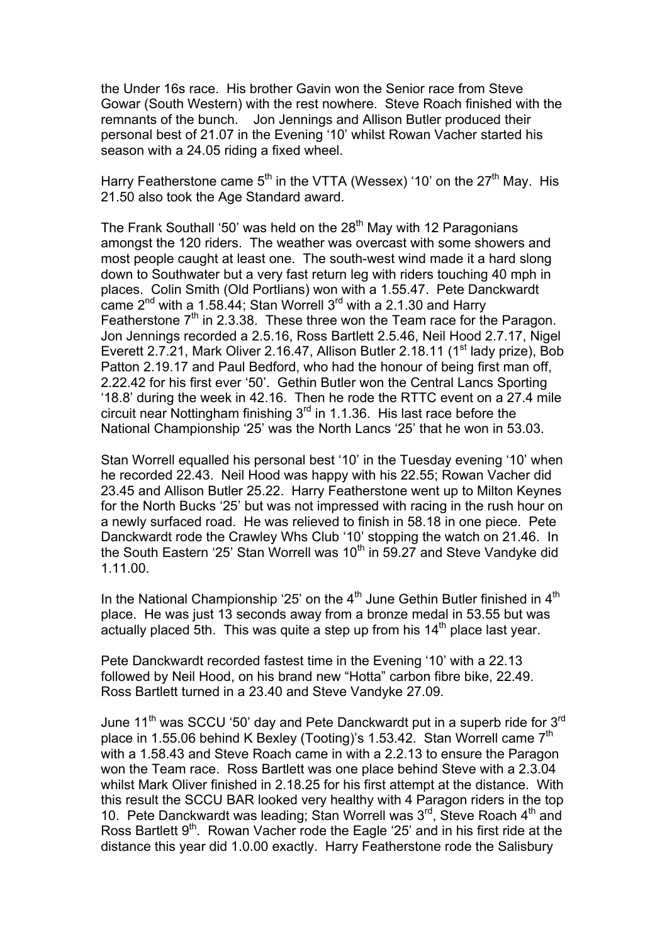the Under 16s race. His brother Gavin won the Senior race from Steve Gowar (South Western) with the rest nowhere. Steve Roach finished with the remnants of the bunch. Jon Jennings and Allison Butler produced their personal best of 21.07 in the Evening '10' whilst Rowan Vacher started his season with a 24.05 riding a fixed wheel.

Harry Featherstone came  $5<sup>th</sup>$  in the VTTA (Wessex) '10' on the 27<sup>th</sup> May. His 21.50 also took the Age Standard award.

The Frank Southall '50' was held on the 28<sup>th</sup> May with 12 Paragonians amongst the 120 riders. The weather was overcast with some showers and most people caught at least one. The south-west wind made it a hard slong down to Southwater but a very fast return leg with riders touching 40 mph in places. Colin Smith (Old Portlians) won with a 1.55.47. Pete Danckwardt came  $2^{nd}$  with a 1.58.44; Stan Worrell 3<sup>rd</sup> with a 2.1.30 and Harry Featherstone  $7<sup>th</sup>$  in 2.3.38. These three won the Team race for the Paragon. Jon Jennings recorded a 2.5.16, Ross Bartlett 2.5.46, Neil Hood 2.7.17, Nigel Everett 2.7.21, Mark Oliver 2.16.47, Allison Butler 2.18.11 (1<sup>st</sup> lady prize), Bob Patton 2.19.17 and Paul Bedford, who had the honour of being first man off, 2.22.42 for his first ever '50'. Gethin Butler won the Central Lancs Sporting '18.8' during the week in 42.16. Then he rode the RTTC event on a 27.4 mile circuit near Nottingham finishing  $3<sup>rd</sup>$  in 1.1.36. His last race before the National Championship '25' was the North Lancs '25' that he won in 53.03.

Stan Worrell equalled his personal best '10' in the Tuesday evening '10' when he recorded 22.43. Neil Hood was happy with his 22.55; Rowan Vacher did 23.45 and Allison Butler 25.22. Harry Featherstone went up to Milton Keynes for the North Bucks '25' but was not impressed with racing in the rush hour on a newly surfaced road. He was relieved to finish in 58.18 in one piece. Pete Danckwardt rode the Crawley Whs Club '10' stopping the watch on 21.46. In the South Eastern '25' Stan Worrell was  $10<sup>th</sup>$  in 59.27 and Steve Vandyke did 1.11.00.

In the National Championship '25' on the  $4<sup>th</sup>$  June Gethin Butler finished in  $4<sup>th</sup>$ place. He was just 13 seconds away from a bronze medal in 53.55 but was actually placed 5th. This was quite a step up from his  $14<sup>th</sup>$  place last year.

Pete Danckwardt recorded fastest time in the Evening '10' with a 22.13 followed by Neil Hood, on his brand new "Hotta" carbon fibre bike, 22.49. Ross Bartlett turned in a 23.40 and Steve Vandyke 27.09.

June 11<sup>th</sup> was SCCU '50' day and Pete Danckwardt put in a superb ride for 3<sup>rd</sup> place in 1.55.06 behind K Bexley (Tooting)'s 1.53.42. Stan Worrell came 7<sup>th</sup> with a 1.58.43 and Steve Roach came in with a 2.2.13 to ensure the Paragon won the Team race. Ross Bartlett was one place behind Steve with a 2.3.04 whilst Mark Oliver finished in 2.18.25 for his first attempt at the distance. With this result the SCCU BAR looked very healthy with 4 Paragon riders in the top 10. Pete Danckwardt was leading; Stan Worrell was 3<sup>rd</sup>, Steve Roach 4<sup>th</sup> and Ross Bartlett  $9<sup>th</sup>$ . Rowan Vacher rode the Eagle '25' and in his first ride at the distance this year did 1.0.00 exactly. Harry Featherstone rode the Salisbury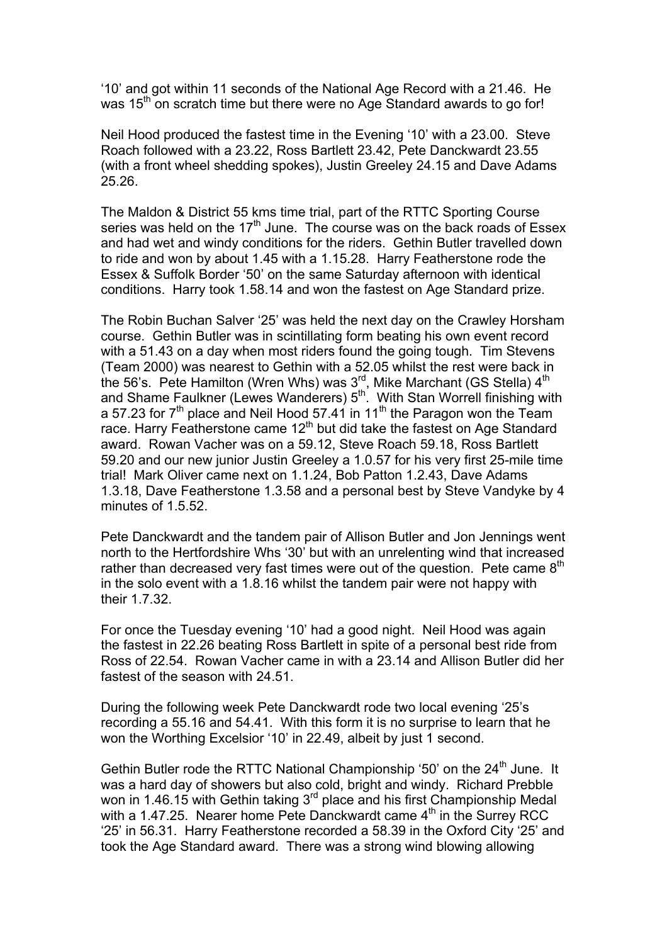'10' and got within 11 seconds of the National Age Record with a 21.46. He was  $15<sup>th</sup>$  on scratch time but there were no Age Standard awards to go for!

Neil Hood produced the fastest time in the Evening '10' with a 23.00. Steve Roach followed with a 23.22, Ross Bartlett 23.42, Pete Danckwardt 23.55 (with a front wheel shedding spokes), Justin Greeley 24.15 and Dave Adams 25.26.

The Maldon & District 55 kms time trial, part of the RTTC Sporting Course series was held on the  $17<sup>th</sup>$  June. The course was on the back roads of Essex and had wet and windy conditions for the riders. Gethin Butler travelled down to ride and won by about 1.45 with a 1.15.28. Harry Featherstone rode the Essex & Suffolk Border '50' on the same Saturday afternoon with identical conditions. Harry took 1.58.14 and won the fastest on Age Standard prize.

The Robin Buchan Salver '25' was held the next day on the Crawley Horsham course. Gethin Butler was in scintillating form beating his own event record with a 51.43 on a day when most riders found the going tough. Tim Stevens (Team 2000) was nearest to Gethin with a 52.05 whilst the rest were back in the 56's. Pete Hamilton (Wren Whs) was 3<sup>rd</sup>, Mike Marchant (GS Stella) 4<sup>th</sup> and Shame Faulkner (Lewes Wanderers) 5<sup>th</sup>. With Stan Worrell finishing with a 57.23 for  $7<sup>th</sup>$  place and Neil Hood 57.41 in 11<sup>th</sup> the Paragon won the Team race. Harry Featherstone came 12<sup>th</sup> but did take the fastest on Age Standard award. Rowan Vacher was on a 59.12, Steve Roach 59.18, Ross Bartlett 59.20 and our new junior Justin Greeley a 1.0.57 for his very first 25-mile time trial! Mark Oliver came next on 1.1.24, Bob Patton 1.2.43, Dave Adams 1.3.18, Dave Featherstone 1.3.58 and a personal best by Steve Vandyke by 4 minutes of 1.5.52.

Pete Danckwardt and the tandem pair of Allison Butler and Jon Jennings went north to the Hertfordshire Whs '30' but with an unrelenting wind that increased rather than decreased very fast times were out of the question. Pete came  $8<sup>th</sup>$ in the solo event with a 1.8.16 whilst the tandem pair were not happy with their 1.7.32.

For once the Tuesday evening '10' had a good night. Neil Hood was again the fastest in 22.26 beating Ross Bartlett in spite of a personal best ride from Ross of 22.54. Rowan Vacher came in with a 23.14 and Allison Butler did her fastest of the season with 24.51.

During the following week Pete Danckwardt rode two local evening '25's recording a 55.16 and 54.41. With this form it is no surprise to learn that he won the Worthing Excelsior '10' in 22.49, albeit by just 1 second.

Gethin Butler rode the RTTC National Championship '50' on the  $24<sup>th</sup>$  June. It was a hard day of showers but also cold, bright and windy. Richard Prebble won in 1.46.15 with Gethin taking  $3^{rd}$  place and his first Championship Medal with a 1.47.25. Nearer home Pete Danckwardt came  $4<sup>th</sup>$  in the Surrey RCC '25' in 56.31. Harry Featherstone recorded a 58.39 in the Oxford City '25' and took the Age Standard award. There was a strong wind blowing allowing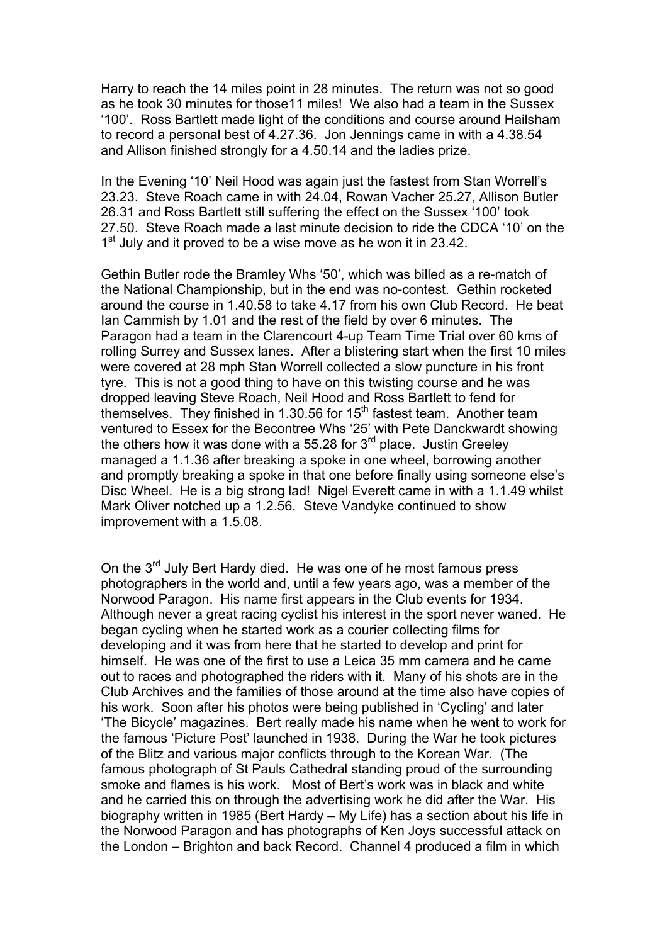Harry to reach the 14 miles point in 28 minutes. The return was not so good as he took 30 minutes for those11 miles! We also had a team in the Sussex '100'. Ross Bartlett made light of the conditions and course around Hailsham to record a personal best of 4.27.36. Jon Jennings came in with a 4.38.54 and Allison finished strongly for a 4.50.14 and the ladies prize.

In the Evening '10' Neil Hood was again just the fastest from Stan Worrell's 23.23. Steve Roach came in with 24.04, Rowan Vacher 25.27, Allison Butler 26.31 and Ross Bartlett still suffering the effect on the Sussex '100' took 27.50. Steve Roach made a last minute decision to ride the CDCA '10' on the 1<sup>st</sup> July and it proved to be a wise move as he won it in 23.42.

Gethin Butler rode the Bramley Whs '50', which was billed as a re-match of the National Championship, but in the end was no-contest. Gethin rocketed around the course in 1.40.58 to take 4.17 from his own Club Record. He beat Ian Cammish by 1.01 and the rest of the field by over 6 minutes. The Paragon had a team in the Clarencourt 4-up Team Time Trial over 60 kms of rolling Surrey and Sussex lanes. After a blistering start when the first 10 miles were covered at 28 mph Stan Worrell collected a slow puncture in his front tyre. This is not a good thing to have on this twisting course and he was dropped leaving Steve Roach, Neil Hood and Ross Bartlett to fend for themselves. They finished in 1.30.56 for 15<sup>th</sup> fastest team. Another team ventured to Essex for the Becontree Whs '25' with Pete Danckwardt showing the others how it was done with a 55.28 for  $3<sup>rd</sup>$  place. Justin Greeley managed a 1.1.36 after breaking a spoke in one wheel, borrowing another and promptly breaking a spoke in that one before finally using someone else's Disc Wheel. He is a big strong lad! Nigel Everett came in with a 1.1.49 whilst Mark Oliver notched up a 1.2.56. Steve Vandyke continued to show improvement with a 1.5.08.

On the  $3<sup>rd</sup>$  July Bert Hardy died. He was one of he most famous press photographers in the world and, until a few years ago, was a member of the Norwood Paragon. His name first appears in the Club events for 1934. Although never a great racing cyclist his interest in the sport never waned. He began cycling when he started work as a courier collecting films for developing and it was from here that he started to develop and print for himself. He was one of the first to use a Leica 35 mm camera and he came out to races and photographed the riders with it. Many of his shots are in the Club Archives and the families of those around at the time also have copies of his work. Soon after his photos were being published in 'Cycling' and later 'The Bicycle' magazines. Bert really made his name when he went to work for the famous 'Picture Post' launched in 1938. During the War he took pictures of the Blitz and various major conflicts through to the Korean War. (The famous photograph of St Pauls Cathedral standing proud of the surrounding smoke and flames is his work. Most of Bert's work was in black and white and he carried this on through the advertising work he did after the War. His biography written in 1985 (Bert Hardy – My Life) has a section about his life in the Norwood Paragon and has photographs of Ken Joys successful attack on the London – Brighton and back Record. Channel 4 produced a film in which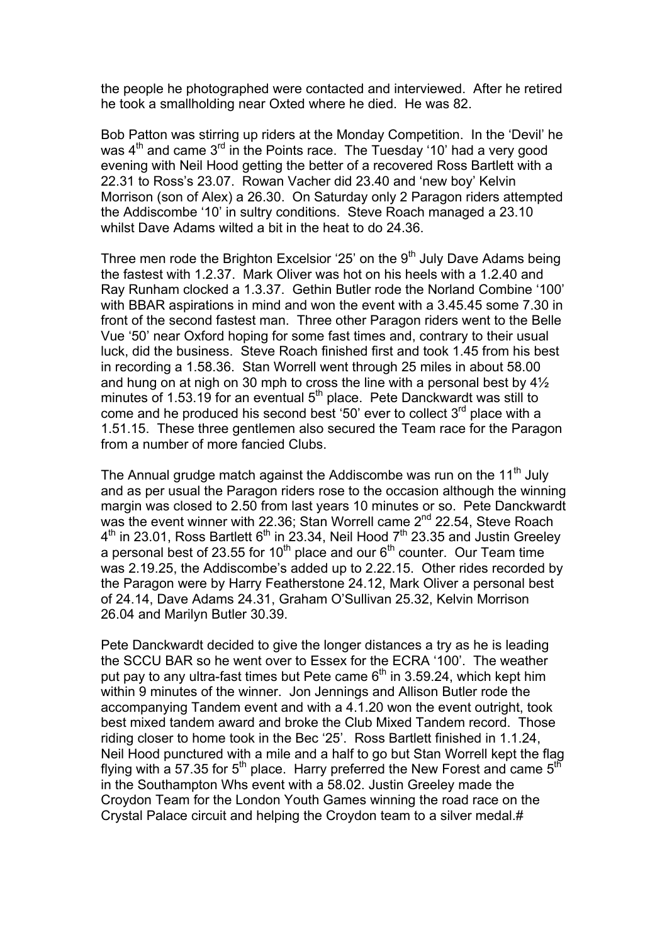the people he photographed were contacted and interviewed. After he retired he took a smallholding near Oxted where he died. He was 82.

Bob Patton was stirring up riders at the Monday Competition. In the 'Devil' he was  $4<sup>th</sup>$  and came  $3<sup>rd</sup>$  in the Points race. The Tuesday '10' had a very good evening with Neil Hood getting the better of a recovered Ross Bartlett with a 22.31 to Ross's 23.07. Rowan Vacher did 23.40 and 'new boy' Kelvin Morrison (son of Alex) a 26.30. On Saturday only 2 Paragon riders attempted the Addiscombe '10' in sultry conditions. Steve Roach managed a 23.10 whilst Dave Adams wilted a bit in the heat to do 24.36.

Three men rode the Brighton Excelsior '25' on the  $9<sup>th</sup>$  July Dave Adams being the fastest with 1.2.37. Mark Oliver was hot on his heels with a 1.2.40 and Ray Runham clocked a 1.3.37. Gethin Butler rode the Norland Combine '100' with BBAR aspirations in mind and won the event with a 3.45.45 some 7.30 in front of the second fastest man. Three other Paragon riders went to the Belle Vue '50' near Oxford hoping for some fast times and, contrary to their usual luck, did the business. Steve Roach finished first and took 1.45 from his best in recording a 1.58.36. Stan Worrell went through 25 miles in about 58.00 and hung on at nigh on 30 mph to cross the line with a personal best by 4½ minutes of 1.53.19 for an eventual  $5<sup>th</sup>$  place. Pete Danckwardt was still to come and he produced his second best '50' ever to collect  $3<sup>rd</sup>$  place with a 1.51.15. These three gentlemen also secured the Team race for the Paragon from a number of more fancied Clubs.

The Annual grudge match against the Addiscombe was run on the  $11<sup>th</sup>$  July and as per usual the Paragon riders rose to the occasion although the winning margin was closed to 2.50 from last years 10 minutes or so. Pete Danckwardt was the event winner with 22.36; Stan Worrell came  $2^{nd}$  22.54, Steve Roach  $4<sup>th</sup>$  in 23.01, Ross Bartlett 6<sup>th</sup> in 23.34, Neil Hood  $7<sup>th</sup>$  23.35 and Justin Greeley a personal best of 23.55 for 10<sup>th</sup> place and our  $6<sup>th</sup>$  counter. Our Team time was 2.19.25, the Addiscombe's added up to 2.22.15. Other rides recorded by the Paragon were by Harry Featherstone 24.12, Mark Oliver a personal best of 24.14, Dave Adams 24.31, Graham O'Sullivan 25.32, Kelvin Morrison 26.04 and Marilyn Butler 30.39.

Pete Danckwardt decided to give the longer distances a try as he is leading the SCCU BAR so he went over to Essex for the ECRA '100'. The weather put pay to any ultra-fast times but Pete came  $6<sup>th</sup>$  in 3.59.24, which kept him within 9 minutes of the winner. Jon Jennings and Allison Butler rode the accompanying Tandem event and with a 4.1.20 won the event outright, took best mixed tandem award and broke the Club Mixed Tandem record. Those riding closer to home took in the Bec '25'. Ross Bartlett finished in 1.1.24, Neil Hood punctured with a mile and a half to go but Stan Worrell kept the flag flying with a 57.35 for 5<sup>th</sup> place. Harry preferred the New Forest and came 5<sup>th</sup> in the Southampton Whs event with a 58.02. Justin Greeley made the Croydon Team for the London Youth Games winning the road race on the Crystal Palace circuit and helping the Croydon team to a silver medal.#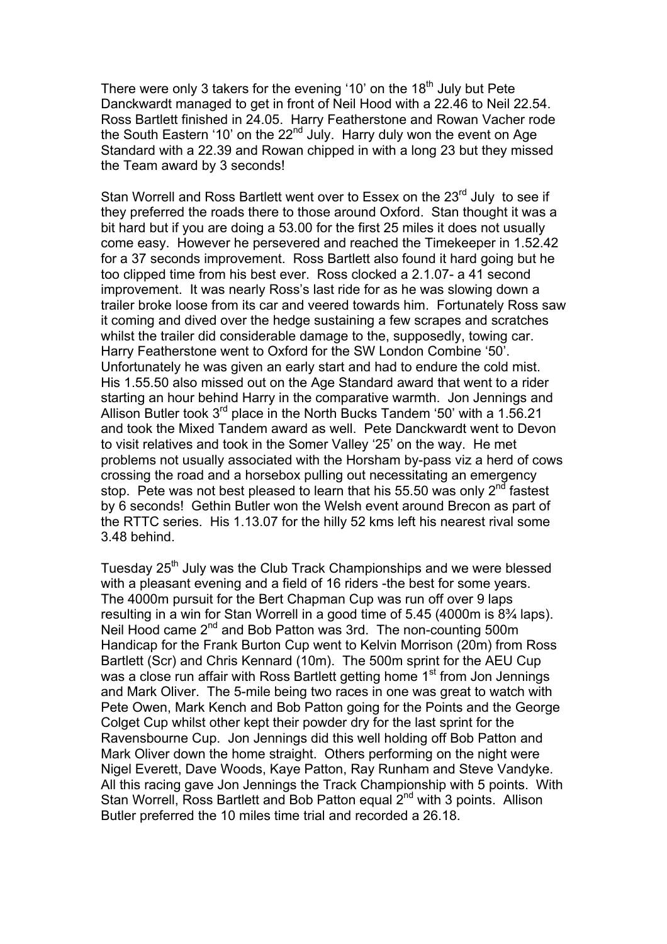There were only 3 takers for the evening '10' on the  $18<sup>th</sup>$  July but Pete Danckwardt managed to get in front of Neil Hood with a 22.46 to Neil 22.54. Ross Bartlett finished in 24.05. Harry Featherstone and Rowan Vacher rode the South Eastern '10' on the  $22<sup>nd</sup>$  July. Harry duly won the event on Age Standard with a 22.39 and Rowan chipped in with a long 23 but they missed the Team award by 3 seconds!

Stan Worrell and Ross Bartlett went over to Essex on the 23<sup>rd</sup> July to see if they preferred the roads there to those around Oxford. Stan thought it was a bit hard but if you are doing a 53.00 for the first 25 miles it does not usually come easy. However he persevered and reached the Timekeeper in 1.52.42 for a 37 seconds improvement. Ross Bartlett also found it hard going but he too clipped time from his best ever. Ross clocked a 2.1.07- a 41 second improvement. It was nearly Ross's last ride for as he was slowing down a trailer broke loose from its car and veered towards him. Fortunately Ross saw it coming and dived over the hedge sustaining a few scrapes and scratches whilst the trailer did considerable damage to the, supposedly, towing car. Harry Featherstone went to Oxford for the SW London Combine '50'. Unfortunately he was given an early start and had to endure the cold mist. His 1.55.50 also missed out on the Age Standard award that went to a rider starting an hour behind Harry in the comparative warmth. Jon Jennings and Allison Butler took  $3^{rd}$  place in the North Bucks Tandem '50' with a 1.56.21 and took the Mixed Tandem award as well. Pete Danckwardt went to Devon to visit relatives and took in the Somer Valley '25' on the way. He met problems not usually associated with the Horsham by-pass viz a herd of cows crossing the road and a horsebox pulling out necessitating an emergency stop. Pete was not best pleased to learn that his 55.50 was only  $2<sup>nd</sup>$  fastest by 6 seconds! Gethin Butler won the Welsh event around Brecon as part of the RTTC series. His 1.13.07 for the hilly 52 kms left his nearest rival some 3.48 behind.

Tuesday 25<sup>th</sup> July was the Club Track Championships and we were blessed with a pleasant evening and a field of 16 riders -the best for some years. The 4000m pursuit for the Bert Chapman Cup was run off over 9 laps resulting in a win for Stan Worrell in a good time of 5.45 (4000m is 8¾ laps). Neil Hood came 2<sup>nd</sup> and Bob Patton was 3rd. The non-counting 500m Handicap for the Frank Burton Cup went to Kelvin Morrison (20m) from Ross Bartlett (Scr) and Chris Kennard (10m). The 500m sprint for the AEU Cup was a close run affair with Ross Bartlett getting home 1<sup>st</sup> from Jon Jennings and Mark Oliver. The 5-mile being two races in one was great to watch with Pete Owen, Mark Kench and Bob Patton going for the Points and the George Colget Cup whilst other kept their powder dry for the last sprint for the Ravensbourne Cup. Jon Jennings did this well holding off Bob Patton and Mark Oliver down the home straight. Others performing on the night were Nigel Everett, Dave Woods, Kaye Patton, Ray Runham and Steve Vandyke. All this racing gave Jon Jennings the Track Championship with 5 points. With Stan Worrell, Ross Bartlett and Bob Patton equal 2<sup>nd</sup> with 3 points. Allison Butler preferred the 10 miles time trial and recorded a 26.18.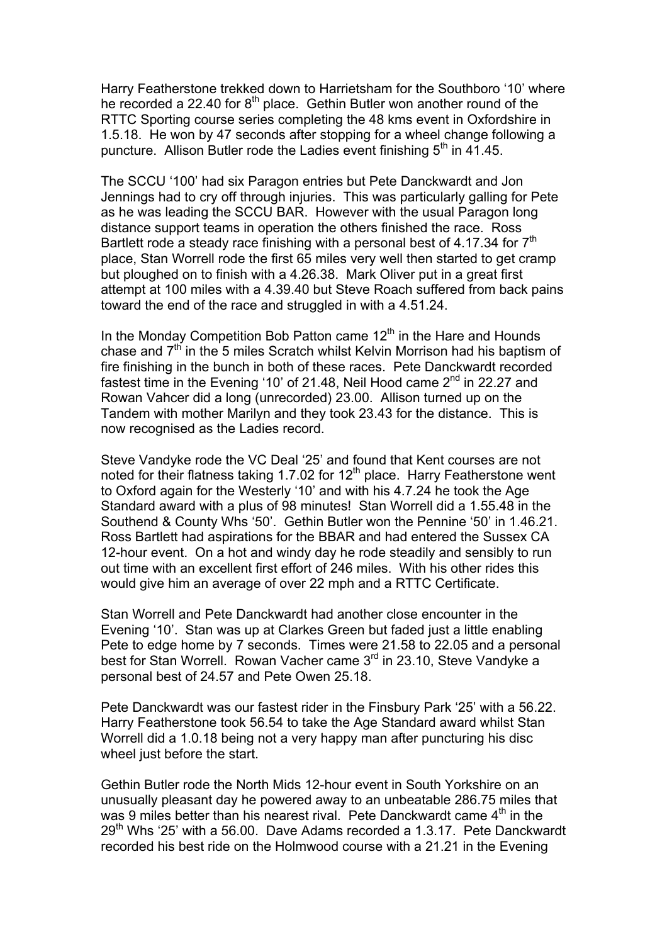Harry Featherstone trekked down to Harrietsham for the Southboro '10' where he recorded a 22.40 for  $8<sup>th</sup>$  place. Gethin Butler won another round of the RTTC Sporting course series completing the 48 kms event in Oxfordshire in 1.5.18. He won by 47 seconds after stopping for a wheel change following a puncture. Allison Butler rode the Ladies event finishing  $5<sup>th</sup>$  in 41.45.

The SCCU '100' had six Paragon entries but Pete Danckwardt and Jon Jennings had to cry off through injuries. This was particularly galling for Pete as he was leading the SCCU BAR. However with the usual Paragon long distance support teams in operation the others finished the race. Ross Bartlett rode a steady race finishing with a personal best of 4.17.34 for  $7<sup>th</sup>$ place, Stan Worrell rode the first 65 miles very well then started to get cramp but ploughed on to finish with a 4.26.38. Mark Oliver put in a great first attempt at 100 miles with a 4.39.40 but Steve Roach suffered from back pains toward the end of the race and struggled in with a 4.51.24.

In the Monday Competition Bob Patton came  $12<sup>th</sup>$  in the Hare and Hounds chase and  $7<sup>th</sup>$  in the 5 miles Scratch whilst Kelvin Morrison had his baptism of fire finishing in the bunch in both of these races. Pete Danckwardt recorded fastest time in the Evening '10' of 21.48, Neil Hood came 2<sup>nd</sup> in 22.27 and Rowan Vahcer did a long (unrecorded) 23.00. Allison turned up on the Tandem with mother Marilyn and they took 23.43 for the distance. This is now recognised as the Ladies record.

Steve Vandyke rode the VC Deal '25' and found that Kent courses are not noted for their flatness taking 1.7.02 for 12<sup>th</sup> place. Harry Featherstone went to Oxford again for the Westerly '10' and with his 4.7.24 he took the Age Standard award with a plus of 98 minutes! Stan Worrell did a 1.55.48 in the Southend & County Whs '50'. Gethin Butler won the Pennine '50' in 1.46.21. Ross Bartlett had aspirations for the BBAR and had entered the Sussex CA 12-hour event. On a hot and windy day he rode steadily and sensibly to run out time with an excellent first effort of 246 miles. With his other rides this would give him an average of over 22 mph and a RTTC Certificate.

Stan Worrell and Pete Danckwardt had another close encounter in the Evening '10'. Stan was up at Clarkes Green but faded just a little enabling Pete to edge home by 7 seconds. Times were 21.58 to 22.05 and a personal best for Stan Worrell. Rowan Vacher came 3<sup>rd</sup> in 23.10, Steve Vandyke a personal best of 24.57 and Pete Owen 25.18.

Pete Danckwardt was our fastest rider in the Finsbury Park '25' with a 56.22. Harry Featherstone took 56.54 to take the Age Standard award whilst Stan Worrell did a 1.0.18 being not a very happy man after puncturing his disc wheel just before the start.

Gethin Butler rode the North Mids 12-hour event in South Yorkshire on an unusually pleasant day he powered away to an unbeatable 286.75 miles that was 9 miles better than his nearest rival. Pete Danckwardt came 4<sup>th</sup> in the 29<sup>th</sup> Whs '25' with a 56.00. Dave Adams recorded a 1.3.17. Pete Danckwardt recorded his best ride on the Holmwood course with a 21.21 in the Evening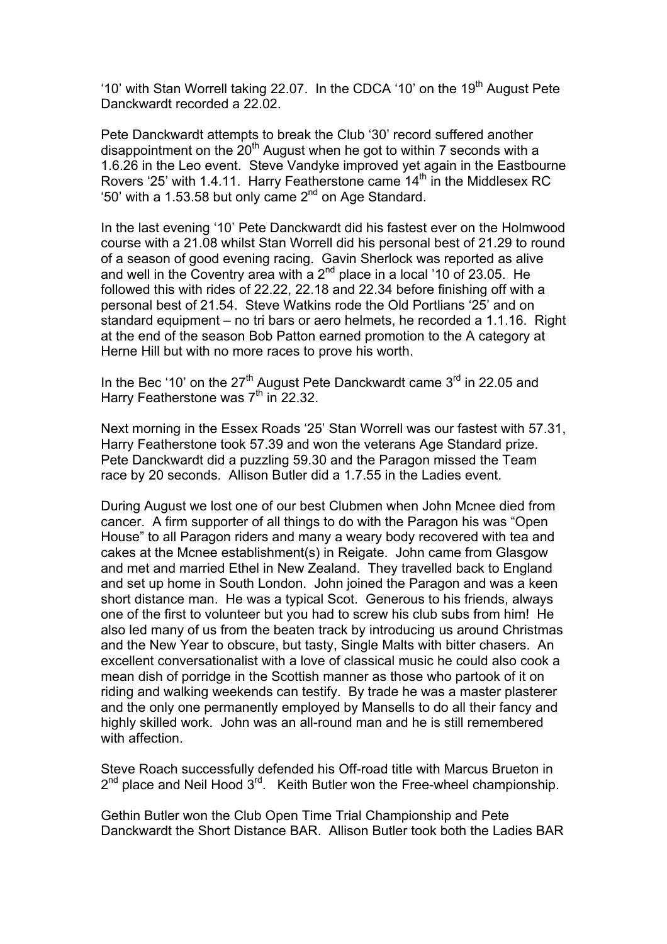'10' with Stan Worrell taking 22.07. In the CDCA '10' on the 19<sup>th</sup> August Pete Danckwardt recorded a 22.02.

Pete Danckwardt attempts to break the Club '30' record suffered another disappointment on the  $20<sup>th</sup>$  August when he got to within 7 seconds with a 1.6.26 in the Leo event. Steve Vandyke improved yet again in the Eastbourne Rovers '25' with 1.4.11. Harry Featherstone came  $14<sup>th</sup>$  in the Middlesex RC '50' with a 1.53.58 but only came 2nd on Age Standard.

In the last evening '10' Pete Danckwardt did his fastest ever on the Holmwood course with a 21.08 whilst Stan Worrell did his personal best of 21.29 to round of a season of good evening racing. Gavin Sherlock was reported as alive and well in the Coventry area with a  $2^{nd}$  place in a local '10 of 23.05. He followed this with rides of 22.22, 22.18 and 22.34 before finishing off with a personal best of 21.54. Steve Watkins rode the Old Portlians '25' and on standard equipment – no tri bars or aero helmets, he recorded a 1.1.16. Right at the end of the season Bob Patton earned promotion to the A category at Herne Hill but with no more races to prove his worth.

In the Bec '10' on the  $27<sup>th</sup>$  August Pete Danckwardt came  $3<sup>rd</sup>$  in 22.05 and Harry Featherstone was  $7<sup>th</sup>$  in 22.32.

Next morning in the Essex Roads '25' Stan Worrell was our fastest with 57.31, Harry Featherstone took 57.39 and won the veterans Age Standard prize. Pete Danckwardt did a puzzling 59.30 and the Paragon missed the Team race by 20 seconds. Allison Butler did a 1.7.55 in the Ladies event.

During August we lost one of our best Clubmen when John Mcnee died from cancer. A firm supporter of all things to do with the Paragon his was "Open House" to all Paragon riders and many a weary body recovered with tea and cakes at the Mcnee establishment(s) in Reigate. John came from Glasgow and met and married Ethel in New Zealand. They travelled back to England and set up home in South London. John joined the Paragon and was a keen short distance man. He was a typical Scot. Generous to his friends, always one of the first to volunteer but you had to screw his club subs from him! He also led many of us from the beaten track by introducing us around Christmas and the New Year to obscure, but tasty, Single Malts with bitter chasers. An excellent conversationalist with a love of classical music he could also cook a mean dish of porridge in the Scottish manner as those who partook of it on riding and walking weekends can testify. By trade he was a master plasterer and the only one permanently employed by Mansells to do all their fancy and highly skilled work. John was an all-round man and he is still remembered with affection.

Steve Roach successfully defended his Off-road title with Marcus Brueton in  $2^{nd}$  place and Neil Hood  $3^{rd}$ . Keith Butler won the Free-wheel championship.

Gethin Butler won the Club Open Time Trial Championship and Pete Danckwardt the Short Distance BAR. Allison Butler took both the Ladies BAR